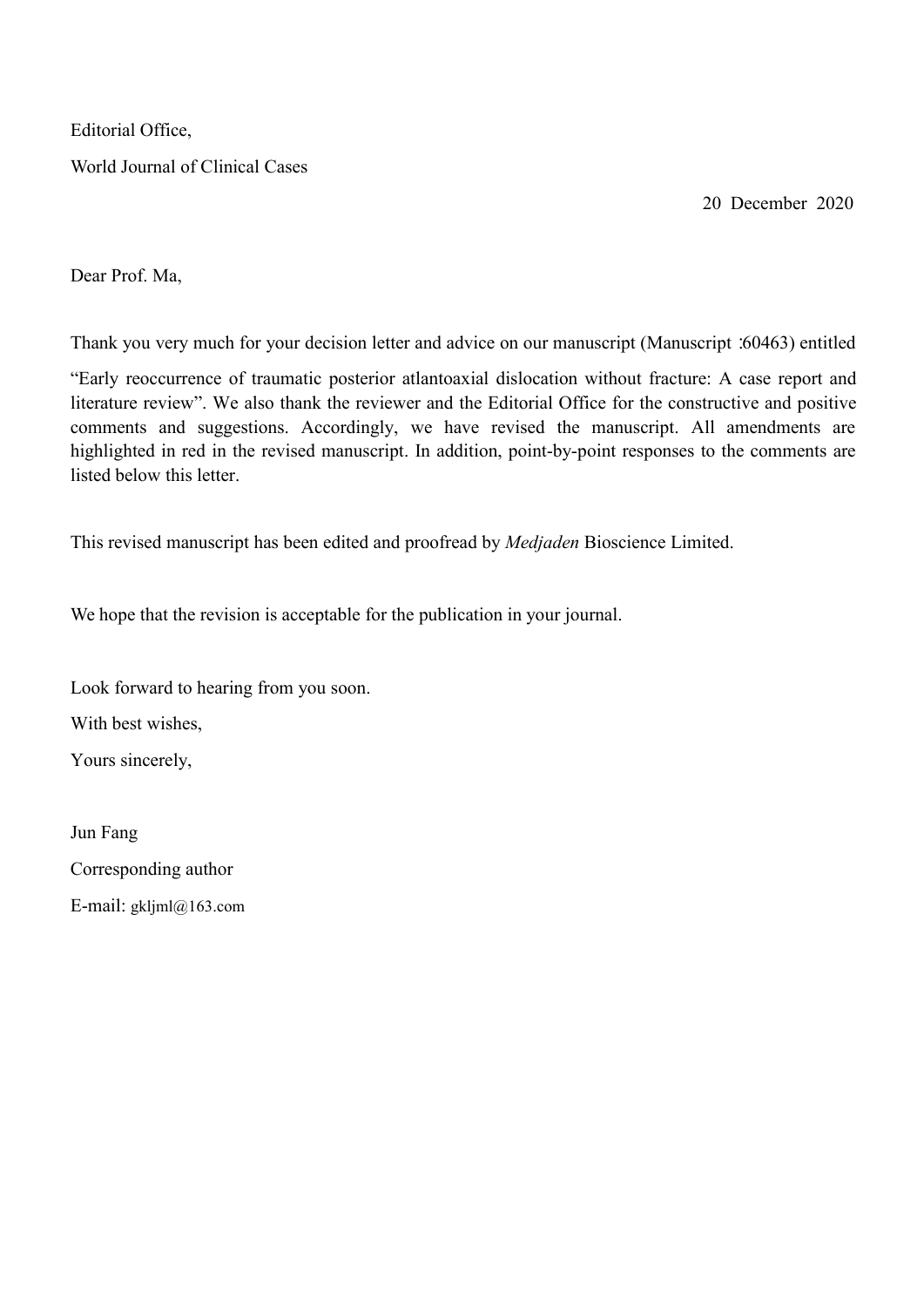Editorial Office,

World Journal of Clinical Cases

20 December 2020

Dear Prof. Ma,

Thank you very much for your decision letter and advice on our manuscript (Manuscript: 60463) entitled

"Early reoccurrence of traumatic posterior atlantoaxial dislocation without fracture: A case report and literature review". We also thank the reviewer and the Editorial Office for the constructive and positive comments and suggestions. Accordingly, we have revised the manuscript. All amendments are highlighted in red in the revised manuscript. In addition, point-by-point responses to the comments are listed below this letter.

This revised manuscript has been edited and proofread by *Medjaden* Bioscience Limited.<br>We hope that the revision is acceptable for the publication in your journal.

Look forward to hearing from you soon. With best wishes,

Yours sincerely,

Jun Fang Corresponding author E-mail: [gkljml@163.com](mailto:gkljml@163.com)